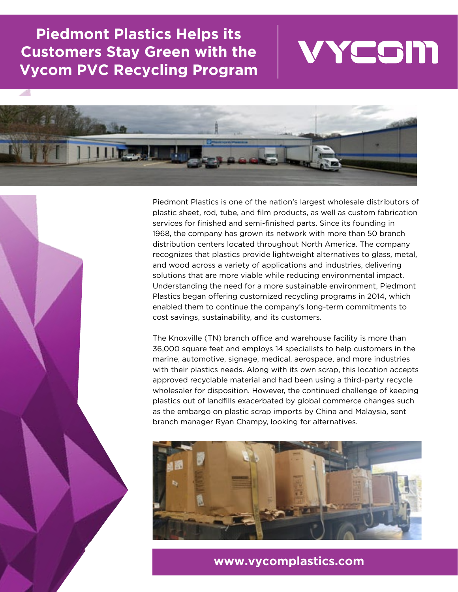**Piedmont Plastics Helps its Customers Stay Green with the Vycom PVC Recycling Program**





Piedmont Plastics is one of the nation's largest wholesale distributors of plastic sheet, rod, tube, and film products, as well as custom fabrication services for finished and semi-finished parts. Since its founding in 1968, the company has grown its network with more than 50 branch distribution centers located throughout North America. The company recognizes that plastics provide lightweight alternatives to glass, metal, and wood across a variety of applications and industries, delivering solutions that are more viable while reducing environmental impact. Understanding the need for a more sustainable environment, Piedmont Plastics began offering customized recycling programs in 2014, which enabled them to continue the company's long-term commitments to cost savings, sustainability, and its customers.

The Knoxville (TN) branch office and warehouse facility is more than 36,000 square feet and employs 14 specialists to help customers in the marine, automotive, signage, medical, aerospace, and more industries with their plastics needs. Along with its own scrap, this location accepts approved recyclable material and had been using a third-party recycle wholesaler for disposition. However, the continued challenge of keeping plastics out of landfills exacerbated by global commerce changes such as the embargo on plastic scrap imports by China and Malaysia, sent branch manager Ryan Champy, looking for alternatives.



### **www.vycomplastics.com**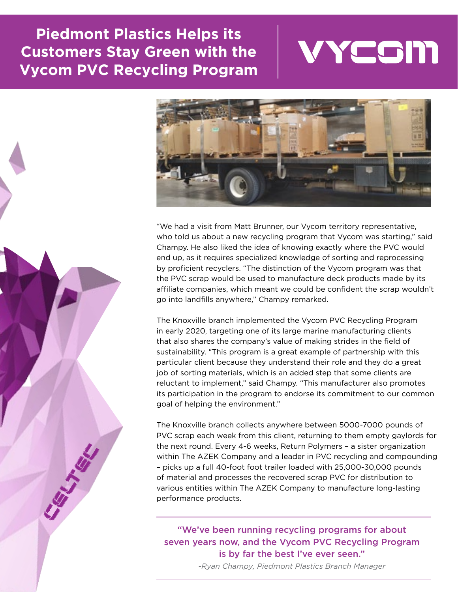# **Piedmont Plastics Helps its Customers Stay Green with the Vycom PVC Recycling Program**





"We had a visit from Matt Brunner, our Vycom territory representative, who told us about a new recycling program that Vycom was starting," said Champy. He also liked the idea of knowing exactly where the PVC would end up, as it requires specialized knowledge of sorting and reprocessing by proficient recyclers. "The distinction of the Vycom program was that the PVC scrap would be used to manufacture deck products made by its affiliate companies, which meant we could be confident the scrap wouldn't go into landfills anywhere," Champy remarked.

The Knoxville branch implemented the Vycom PVC Recycling Program in early 2020, targeting one of its large marine manufacturing clients that also shares the company's value of making strides in the field of sustainability. "This program is a great example of partnership with this particular client because they understand their role and they do a great job of sorting materials, which is an added step that some clients are reluctant to implement," said Champy. "This manufacturer also promotes its participation in the program to endorse its commitment to our common goal of helping the environment."

The Knoxville branch collects anywhere between 5000-7000 pounds of PVC scrap each week from this client, returning to them empty gaylords for the next round. Every 4-6 weeks, Return Polymers – a sister organization within The AZEK Company and a leader in PVC recycling and compounding – picks up a full 40-foot foot trailer loaded with 25,000-30,000 pounds of material and processes the recovered scrap PVC for distribution to various entities within The AZEK Company to manufacture long-lasting performance products.

#### "We've been running recycling programs for about seven years now, and the Vycom PVC Recycling Program is by far the best I've ever seen."

*-Ryan Champy, Piedmont Plastics Branch Manager*